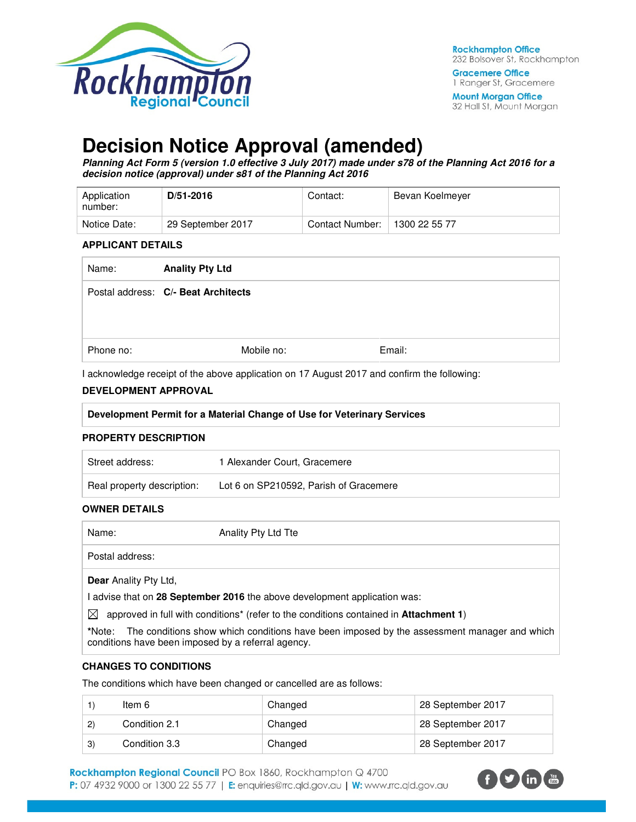

32 Hall St, Mount Morgan

# **Decision Notice Approval (amended)**

**Planning Act Form 5 (version 1.0 effective 3 July 2017) made under s78 of the Planning Act 2016 for a decision notice (approval) under s81 of the Planning Act 2016** 

| Application<br>number: | $D/51 - 2016$     | Contact:        | Bevan Koelmeyer |
|------------------------|-------------------|-----------------|-----------------|
| Notice Date:           | 29 September 2017 | Contact Number: | 1300 22 55 77   |

#### **APPLICANT DETAILS**

| Name:     | <b>Anality Pty Ltd</b>              |        |
|-----------|-------------------------------------|--------|
|           | Postal address: C/- Beat Architects |        |
| Phone no: | Mobile no:                          | Email: |

I acknowledge receipt of the above application on 17 August 2017 and confirm the following:

#### **DEVELOPMENT APPROVAL**

#### **PROPERTY DESCRIPTION**

| Street address:            | 1 Alexander Court, Gracemere           |
|----------------------------|----------------------------------------|
| Real property description: | Lot 6 on SP210592, Parish of Gracemere |

#### **OWNER DETAILS**

| Name:                        | Anality Pty Ltd Tte                                                                                                                       |
|------------------------------|-------------------------------------------------------------------------------------------------------------------------------------------|
| Postal address:              |                                                                                                                                           |
| <b>Dear</b> Anality Pty Ltd, |                                                                                                                                           |
|                              | I advise that on 28 September 2016 the above development application was:                                                                 |
| ◚                            | ( H بالمتحدث والمسابق المالي المستولية بالمستقلة المتحدث وبما السابق عام 141 من المقاطعة المالية المالية المستقل والمستقل المستقل المستقل |

approved in full with conditions\* (refer to the conditions contained in **Attachment 1**)

**\***Note:The conditions show which conditions have been imposed by the assessment manager and which conditions have been imposed by a referral agency.

#### **CHANGES TO CONDITIONS**

The conditions which have been changed or cancelled are as follows:

|              | ltem 6        | Changed | 28 September 2017 |
|--------------|---------------|---------|-------------------|
| $\mathbf{2}$ | Condition 2.1 | Changed | 28 September 2017 |
| 3)           | Condition 3.3 | Changed | 28 September 2017 |

Rockhampton Regional Council PO Box 1860, Rockhampton Q 4700 P: 07 4932 9000 or 1300 22 55 77 | E: enquiries@rrc.qld.gov.au | W: www.rrc.qld.gov.au

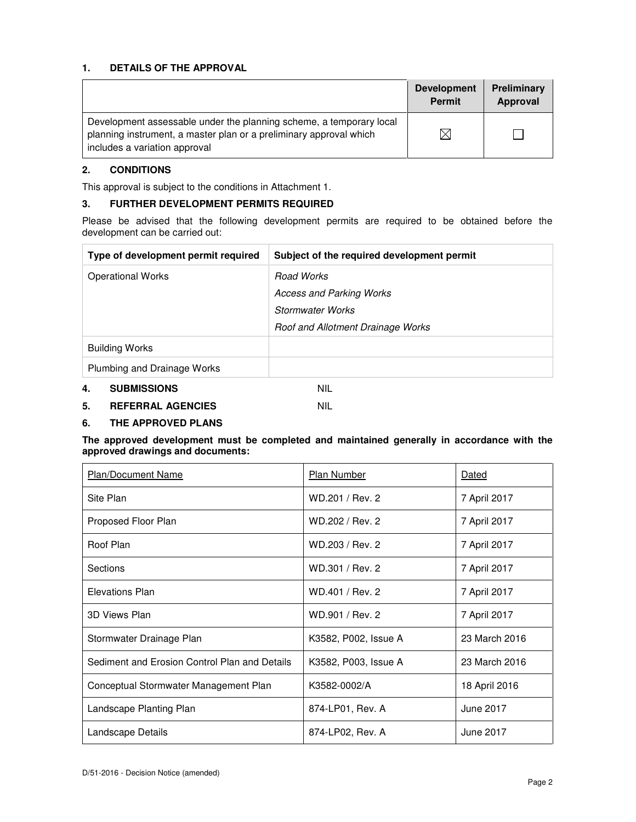## **1. DETAILS OF THE APPROVAL**

|                                                                                                                                                                            | <b>Development</b><br><b>Permit</b> | Preliminary<br>Approval |
|----------------------------------------------------------------------------------------------------------------------------------------------------------------------------|-------------------------------------|-------------------------|
| Development assessable under the planning scheme, a temporary local<br>planning instrument, a master plan or a preliminary approval which<br>includes a variation approval | $\boxtimes$                         |                         |

## **2. CONDITIONS**

This approval is subject to the conditions in Attachment 1.

#### **3. FURTHER DEVELOPMENT PERMITS REQUIRED**

Please be advised that the following development permits are required to be obtained before the development can be carried out:

| Type of development permit required | Subject of the required development permit |  |
|-------------------------------------|--------------------------------------------|--|
| <b>Operational Works</b>            | Road Works                                 |  |
|                                     | <b>Access and Parking Works</b>            |  |
|                                     | Stormwater Works                           |  |
|                                     | Roof and Allotment Drainage Works          |  |
| <b>Building Works</b>               |                                            |  |
| Plumbing and Drainage Works         |                                            |  |
| 4.<br><b>SUBMISSIONS</b>            | <b>NIL</b>                                 |  |

## **5. REFERRAL AGENCIES** NIL

## **6. THE APPROVED PLANS**

#### **The approved development must be completed and maintained generally in accordance with the approved drawings and documents:**

| <b>Plan/Document Name</b>                     | Plan Number          | Dated            |
|-----------------------------------------------|----------------------|------------------|
| Site Plan                                     | WD.201 / Rev. 2      | 7 April 2017     |
| Proposed Floor Plan                           | WD.202 / Rev. 2      | 7 April 2017     |
| Roof Plan                                     | WD.203 / Rev. 2      | 7 April 2017     |
| Sections                                      | WD.301 / Rev. 2      | 7 April 2017     |
| <b>Elevations Plan</b>                        | WD.401 / Rev. 2      | 7 April 2017     |
| 3D Views Plan                                 | WD.901 / Rev. 2      | 7 April 2017     |
| Stormwater Drainage Plan                      | K3582, P002, Issue A | 23 March 2016    |
| Sediment and Erosion Control Plan and Details | K3582, P003, Issue A | 23 March 2016    |
| Conceptual Stormwater Management Plan         | K3582-0002/A         | 18 April 2016    |
| Landscape Planting Plan                       | 874-LP01, Rev. A     | <b>June 2017</b> |
| Landscape Details                             | 874-LP02, Rev. A     | June 2017        |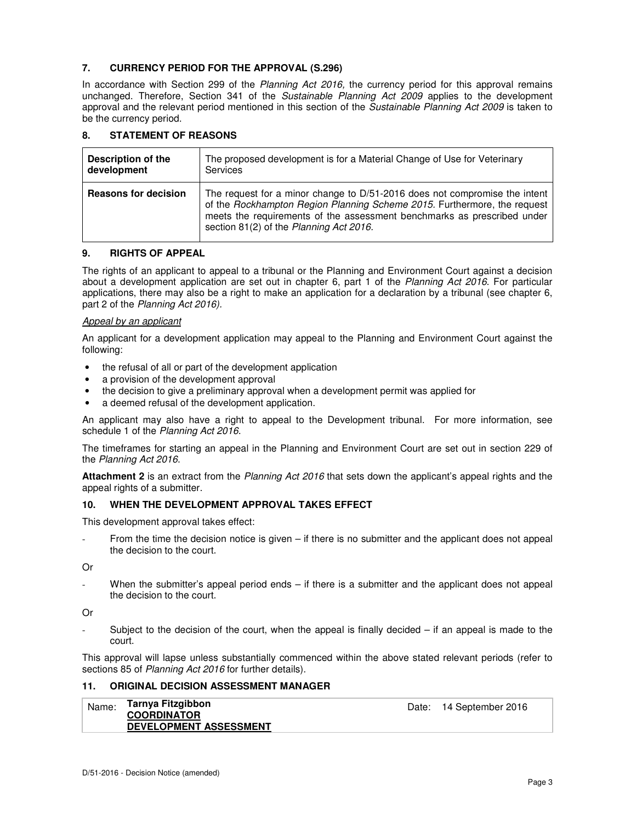## **7. CURRENCY PERIOD FOR THE APPROVAL (S.296)**

In accordance with Section 299 of the Planning Act 2016, the currency period for this approval remains unchanged. Therefore, Section 341 of the Sustainable Planning Act 2009 applies to the development approval and the relevant period mentioned in this section of the Sustainable Planning Act 2009 is taken to be the currency period.

## **8. STATEMENT OF REASONS**

| <b>Description of the</b>   | The proposed development is for a Material Change of Use for Veterinary                                                                                                                                                                                                      |
|-----------------------------|------------------------------------------------------------------------------------------------------------------------------------------------------------------------------------------------------------------------------------------------------------------------------|
| development                 | <b>Services</b>                                                                                                                                                                                                                                                              |
| <b>Reasons for decision</b> | The request for a minor change to D/51-2016 does not compromise the intent<br>of the Rockhampton Region Planning Scheme 2015. Furthermore, the request<br>meets the requirements of the assessment benchmarks as prescribed under<br>section 81(2) of the Planning Act 2016. |

#### **9. RIGHTS OF APPEAL**

The rights of an applicant to appeal to a tribunal or the Planning and Environment Court against a decision about a development application are set out in chapter 6, part 1 of the Planning Act 2016. For particular applications, there may also be a right to make an application for a declaration by a tribunal (see chapter 6, part 2 of the Planning Act 2016).

#### Appeal by an applicant

An applicant for a development application may appeal to the Planning and Environment Court against the following:

- the refusal of all or part of the development application
- a provision of the development approval
- the decision to give a preliminary approval when a development permit was applied for
- a deemed refusal of the development application.

An applicant may also have a right to appeal to the Development tribunal. For more information, see schedule 1 of the Planning Act 2016.

The timeframes for starting an appeal in the Planning and Environment Court are set out in section 229 of the Planning Act 2016.

**Attachment 2** is an extract from the Planning Act 2016 that sets down the applicant's appeal rights and the appeal rights of a submitter.

#### **10. WHEN THE DEVELOPMENT APPROVAL TAKES EFFECT**

This development approval takes effect:

From the time the decision notice is given – if there is no submitter and the applicant does not appeal the decision to the court.

Or

When the submitter's appeal period ends – if there is a submitter and the applicant does not appeal the decision to the court.

Or

Subject to the decision of the court, when the appeal is finally decided  $-$  if an appeal is made to the court.

This approval will lapse unless substantially commenced within the above stated relevant periods (refer to sections 85 of Planning Act 2016 for further details).

#### **11. ORIGINAL DECISION ASSESSMENT MANAGER**

| Name: | Tarnya Fitzgibbon<br><b>COORDINATOR</b> | Date: 14 September 2016 |
|-------|-----------------------------------------|-------------------------|
|       | <b>DEVELOPMENT ASSESSMENT</b>           |                         |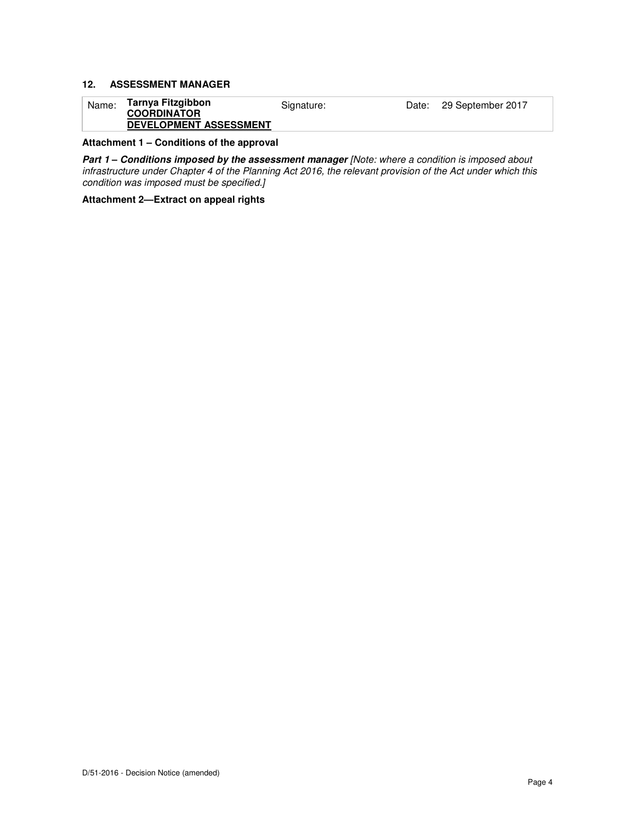#### **12. ASSESSMENT MANAGER**

| Name: | Tarnya Fitzgibbon<br><b>COORDINATOR</b> | Signature: | Date: 29 September 2017 |
|-------|-----------------------------------------|------------|-------------------------|
|       | <b>DEVELOPMENT ASSESSMENT</b>           |            |                         |

**Attachment 1 – Conditions of the approval** 

**Part 1 – Conditions imposed by the assessment manager [Note: where a condition is imposed about** infrastructure under Chapter 4 of the Planning Act 2016, the relevant provision of the Act under which this condition was imposed must be specified.]

**Attachment 2—Extract on appeal rights**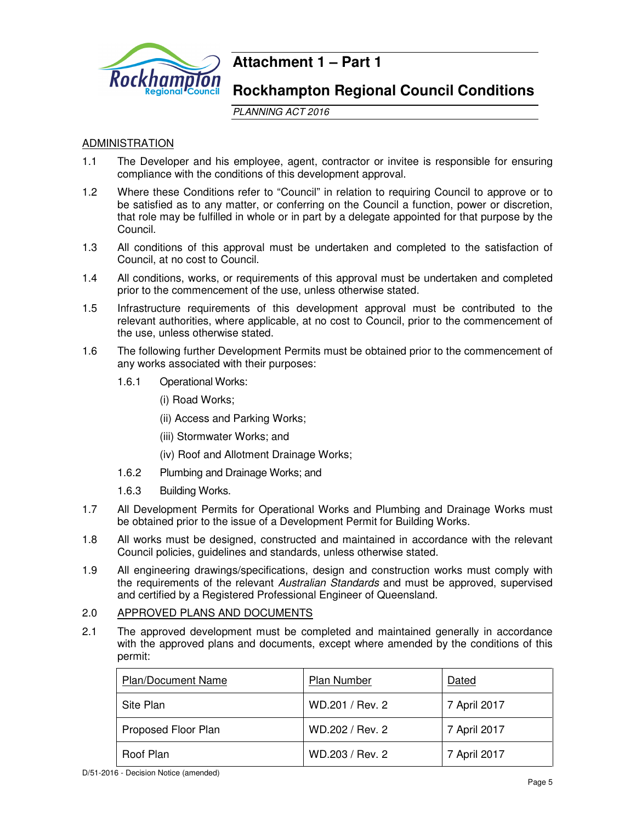

## **Attachment 1 – Part 1**

## **Rockhampton Regional Council Conditions**

PLANNING ACT 2016

## **ADMINISTRATION**

- 1.1 The Developer and his employee, agent, contractor or invitee is responsible for ensuring compliance with the conditions of this development approval.
- 1.2 Where these Conditions refer to "Council" in relation to requiring Council to approve or to be satisfied as to any matter, or conferring on the Council a function, power or discretion, that role may be fulfilled in whole or in part by a delegate appointed for that purpose by the Council.
- 1.3 All conditions of this approval must be undertaken and completed to the satisfaction of Council, at no cost to Council.
- 1.4 All conditions, works, or requirements of this approval must be undertaken and completed prior to the commencement of the use, unless otherwise stated.
- 1.5 Infrastructure requirements of this development approval must be contributed to the relevant authorities, where applicable, at no cost to Council, prior to the commencement of the use, unless otherwise stated.
- 1.6 The following further Development Permits must be obtained prior to the commencement of any works associated with their purposes:
	- 1.6.1 Operational Works:
		- (i) Road Works;
		- (ii) Access and Parking Works;
		- (iii) Stormwater Works; and
		- (iv) Roof and Allotment Drainage Works;
	- 1.6.2 Plumbing and Drainage Works; and
	- 1.6.3 Building Works.
- 1.7 All Development Permits for Operational Works and Plumbing and Drainage Works must be obtained prior to the issue of a Development Permit for Building Works.
- 1.8 All works must be designed, constructed and maintained in accordance with the relevant Council policies, guidelines and standards, unless otherwise stated.
- 1.9 All engineering drawings/specifications, design and construction works must comply with the requirements of the relevant Australian Standards and must be approved, supervised and certified by a Registered Professional Engineer of Queensland.

## 2.0 APPROVED PLANS AND DOCUMENTS

2.1 The approved development must be completed and maintained generally in accordance with the approved plans and documents, except where amended by the conditions of this permit:

| <b>Plan/Document Name</b> | Plan Number     | Dated        |
|---------------------------|-----------------|--------------|
| Site Plan                 | WD.201 / Rev. 2 | 7 April 2017 |
| Proposed Floor Plan       | WD.202 / Rev. 2 | 7 April 2017 |
| Roof Plan                 | WD.203 / Rev. 2 | 7 April 2017 |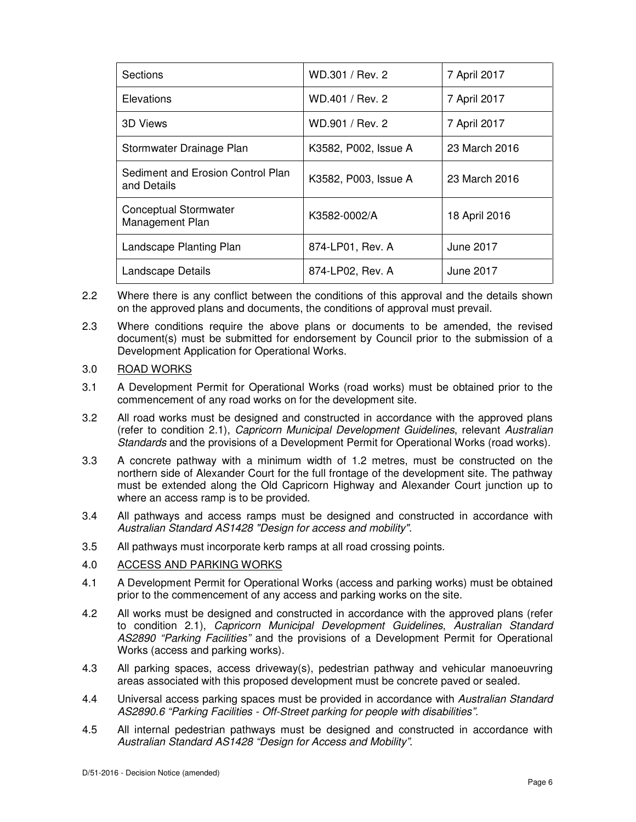| Sections                                         | WD.301 / Rev. 2      | 7 April 2017  |
|--------------------------------------------------|----------------------|---------------|
| Elevations                                       | WD.401 / Rev. 2      | 7 April 2017  |
| 3D Views                                         | WD.901 / Rev. 2      | 7 April 2017  |
| Stormwater Drainage Plan                         | K3582, P002, Issue A | 23 March 2016 |
| Sediment and Erosion Control Plan<br>and Details | K3582, P003, Issue A | 23 March 2016 |
| Conceptual Stormwater<br>Management Plan         | K3582-0002/A         | 18 April 2016 |
| Landscape Planting Plan                          | 874-LP01, Rev. A     | June 2017     |
| Landscape Details                                | 874-LP02, Rev. A     | June 2017     |

- 2.2 Where there is any conflict between the conditions of this approval and the details shown on the approved plans and documents, the conditions of approval must prevail.
- 2.3 Where conditions require the above plans or documents to be amended, the revised document(s) must be submitted for endorsement by Council prior to the submission of a Development Application for Operational Works.
- 3.0 ROAD WORKS
- 3.1 A Development Permit for Operational Works (road works) must be obtained prior to the commencement of any road works on for the development site.
- 3.2 All road works must be designed and constructed in accordance with the approved plans (refer to condition 2.1), Capricorn Municipal Development Guidelines, relevant Australian Standards and the provisions of a Development Permit for Operational Works (road works).
- 3.3 A concrete pathway with a minimum width of 1.2 metres, must be constructed on the northern side of Alexander Court for the full frontage of the development site. The pathway must be extended along the Old Capricorn Highway and Alexander Court junction up to where an access ramp is to be provided.
- 3.4 All pathways and access ramps must be designed and constructed in accordance with Australian Standard AS1428 "Design for access and mobility".
- 3.5 All pathways must incorporate kerb ramps at all road crossing points.
- 4.0 ACCESS AND PARKING WORKS
- 4.1 A Development Permit for Operational Works (access and parking works) must be obtained prior to the commencement of any access and parking works on the site.
- 4.2 All works must be designed and constructed in accordance with the approved plans (refer to condition 2.1), Capricorn Municipal Development Guidelines, Australian Standard AS2890 "Parking Facilities" and the provisions of a Development Permit for Operational Works (access and parking works).
- 4.3 All parking spaces, access driveway(s), pedestrian pathway and vehicular manoeuvring areas associated with this proposed development must be concrete paved or sealed.
- 4.4 Universal access parking spaces must be provided in accordance with Australian Standard AS2890.6 "Parking Facilities - Off-Street parking for people with disabilities".
- 4.5 All internal pedestrian pathways must be designed and constructed in accordance with Australian Standard AS1428 "Design for Access and Mobility".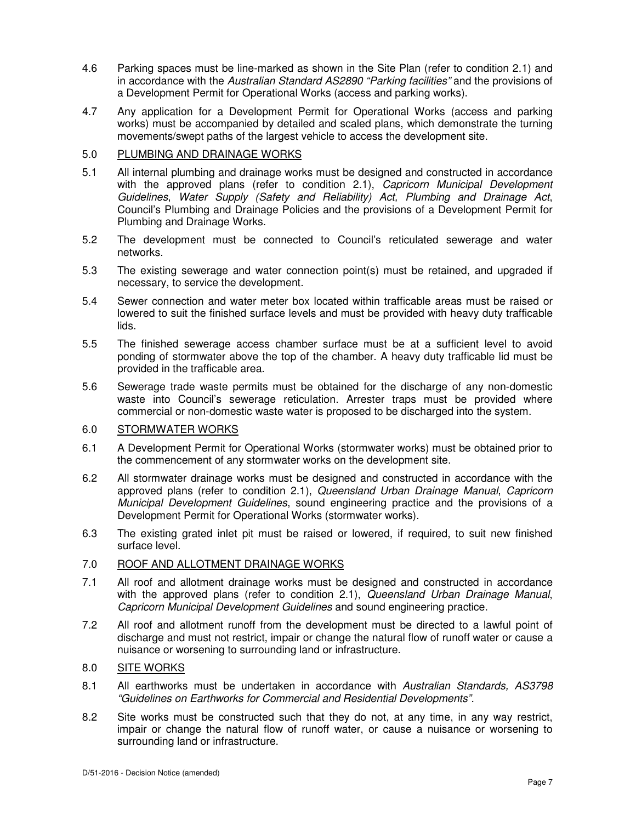- 4.6 Parking spaces must be line-marked as shown in the Site Plan (refer to condition 2.1) and in accordance with the Australian Standard AS2890 "Parking facilities" and the provisions of a Development Permit for Operational Works (access and parking works).
- 4.7 Any application for a Development Permit for Operational Works (access and parking works) must be accompanied by detailed and scaled plans, which demonstrate the turning movements/swept paths of the largest vehicle to access the development site.

## 5.0 PLUMBING AND DRAINAGE WORKS

- 5.1 All internal plumbing and drainage works must be designed and constructed in accordance with the approved plans (refer to condition 2.1), Capricorn Municipal Development Guidelines, Water Supply (Safety and Reliability) Act, Plumbing and Drainage Act, Council's Plumbing and Drainage Policies and the provisions of a Development Permit for Plumbing and Drainage Works.
- 5.2 The development must be connected to Council's reticulated sewerage and water networks.
- 5.3 The existing sewerage and water connection point(s) must be retained, and upgraded if necessary, to service the development.
- 5.4 Sewer connection and water meter box located within trafficable areas must be raised or lowered to suit the finished surface levels and must be provided with heavy duty trafficable lids.
- 5.5 The finished sewerage access chamber surface must be at a sufficient level to avoid ponding of stormwater above the top of the chamber. A heavy duty trafficable lid must be provided in the trafficable area.
- 5.6 Sewerage trade waste permits must be obtained for the discharge of any non-domestic waste into Council's sewerage reticulation. Arrester traps must be provided where commercial or non-domestic waste water is proposed to be discharged into the system.

## 6.0 STORMWATER WORKS

- 6.1 A Development Permit for Operational Works (stormwater works) must be obtained prior to the commencement of any stormwater works on the development site.
- 6.2 All stormwater drainage works must be designed and constructed in accordance with the approved plans (refer to condition 2.1), Queensland Urban Drainage Manual, Capricorn Municipal Development Guidelines, sound engineering practice and the provisions of a Development Permit for Operational Works (stormwater works).
- 6.3 The existing grated inlet pit must be raised or lowered, if required, to suit new finished surface level.

## 7.0 ROOF AND ALLOTMENT DRAINAGE WORKS

- 7.1 All roof and allotment drainage works must be designed and constructed in accordance with the approved plans (refer to condition 2.1), Queensland Urban Drainage Manual, Capricorn Municipal Development Guidelines and sound engineering practice.
- 7.2 All roof and allotment runoff from the development must be directed to a lawful point of discharge and must not restrict, impair or change the natural flow of runoff water or cause a nuisance or worsening to surrounding land or infrastructure.

## 8.0 SITE WORKS

- 8.1 All earthworks must be undertaken in accordance with Australian Standards, AS3798 "Guidelines on Earthworks for Commercial and Residential Developments".
- 8.2 Site works must be constructed such that they do not, at any time, in any way restrict, impair or change the natural flow of runoff water, or cause a nuisance or worsening to surrounding land or infrastructure.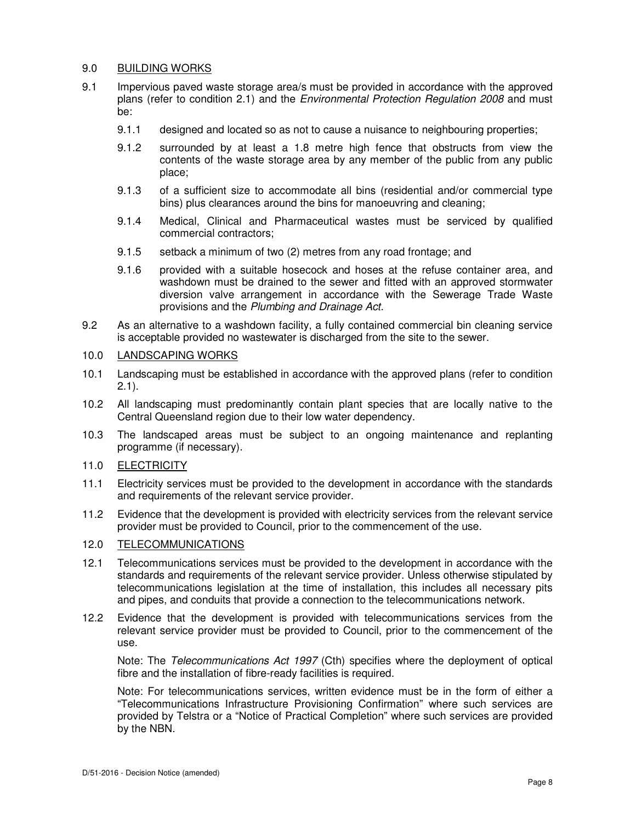## 9.0 BUILDING WORKS

- 9.1 Impervious paved waste storage area/s must be provided in accordance with the approved plans (refer to condition 2.1) and the Environmental Protection Regulation 2008 and must be:
	- 9.1.1 designed and located so as not to cause a nuisance to neighbouring properties;
	- 9.1.2 surrounded by at least a 1.8 metre high fence that obstructs from view the contents of the waste storage area by any member of the public from any public place;
	- 9.1.3 of a sufficient size to accommodate all bins (residential and/or commercial type bins) plus clearances around the bins for manoeuvring and cleaning;
	- 9.1.4 Medical, Clinical and Pharmaceutical wastes must be serviced by qualified commercial contractors;
	- 9.1.5 setback a minimum of two (2) metres from any road frontage; and
	- 9.1.6 provided with a suitable hosecock and hoses at the refuse container area, and washdown must be drained to the sewer and fitted with an approved stormwater diversion valve arrangement in accordance with the Sewerage Trade Waste provisions and the Plumbing and Drainage Act.
- 9.2 As an alternative to a washdown facility, a fully contained commercial bin cleaning service is acceptable provided no wastewater is discharged from the site to the sewer.

## 10.0 LANDSCAPING WORKS

- 10.1 Landscaping must be established in accordance with the approved plans (refer to condition  $2.1$ ).
- 10.2 All landscaping must predominantly contain plant species that are locally native to the Central Queensland region due to their low water dependency.
- 10.3 The landscaped areas must be subject to an ongoing maintenance and replanting programme (if necessary).

## 11.0 ELECTRICITY

- 11.1 Electricity services must be provided to the development in accordance with the standards and requirements of the relevant service provider.
- 11.2 Evidence that the development is provided with electricity services from the relevant service provider must be provided to Council, prior to the commencement of the use.

## 12.0 TELECOMMUNICATIONS

- 12.1 Telecommunications services must be provided to the development in accordance with the standards and requirements of the relevant service provider. Unless otherwise stipulated by telecommunications legislation at the time of installation, this includes all necessary pits and pipes, and conduits that provide a connection to the telecommunications network.
- 12.2 Evidence that the development is provided with telecommunications services from the relevant service provider must be provided to Council, prior to the commencement of the use.

Note: The Telecommunications Act 1997 (Cth) specifies where the deployment of optical fibre and the installation of fibre-ready facilities is required.

Note: For telecommunications services, written evidence must be in the form of either a "Telecommunications Infrastructure Provisioning Confirmation" where such services are provided by Telstra or a "Notice of Practical Completion" where such services are provided by the NBN.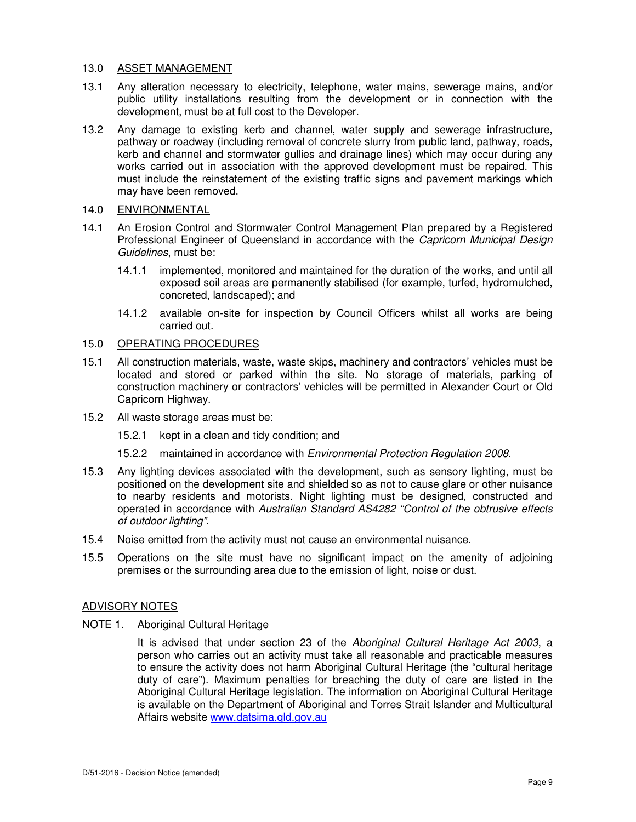## 13.0 ASSET MANAGEMENT

- 13.1 Any alteration necessary to electricity, telephone, water mains, sewerage mains, and/or public utility installations resulting from the development or in connection with the development, must be at full cost to the Developer.
- 13.2 Any damage to existing kerb and channel, water supply and sewerage infrastructure, pathway or roadway (including removal of concrete slurry from public land, pathway, roads, kerb and channel and stormwater gullies and drainage lines) which may occur during any works carried out in association with the approved development must be repaired. This must include the reinstatement of the existing traffic signs and pavement markings which may have been removed.

## 14.0 ENVIRONMENTAL

- 14.1 An Erosion Control and Stormwater Control Management Plan prepared by a Registered Professional Engineer of Queensland in accordance with the Capricorn Municipal Design Guidelines, must be:
	- 14.1.1 implemented, monitored and maintained for the duration of the works, and until all exposed soil areas are permanently stabilised (for example, turfed, hydromulched, concreted, landscaped); and
	- 14.1.2 available on-site for inspection by Council Officers whilst all works are being carried out.

## 15.0 OPERATING PROCEDURES

- 15.1 All construction materials, waste, waste skips, machinery and contractors' vehicles must be located and stored or parked within the site. No storage of materials, parking of construction machinery or contractors' vehicles will be permitted in Alexander Court or Old Capricorn Highway.
- 15.2 All waste storage areas must be:
	- 15.2.1 kept in a clean and tidy condition; and
	- 15.2.2 maintained in accordance with Environmental Protection Regulation 2008.
- 15.3 Any lighting devices associated with the development, such as sensory lighting, must be positioned on the development site and shielded so as not to cause glare or other nuisance to nearby residents and motorists. Night lighting must be designed, constructed and operated in accordance with Australian Standard AS4282 "Control of the obtrusive effects of outdoor lighting".
- 15.4 Noise emitted from the activity must not cause an environmental nuisance.
- 15.5 Operations on the site must have no significant impact on the amenity of adjoining premises or the surrounding area due to the emission of light, noise or dust.

#### ADVISORY NOTES

## NOTE 1. Aboriginal Cultural Heritage

It is advised that under section 23 of the Aboriginal Cultural Heritage Act 2003, a person who carries out an activity must take all reasonable and practicable measures to ensure the activity does not harm Aboriginal Cultural Heritage (the "cultural heritage duty of care"). Maximum penalties for breaching the duty of care are listed in the Aboriginal Cultural Heritage legislation. The information on Aboriginal Cultural Heritage is available on the Department of Aboriginal and Torres Strait Islander and Multicultural Affairs website www.datsima.qld.gov.au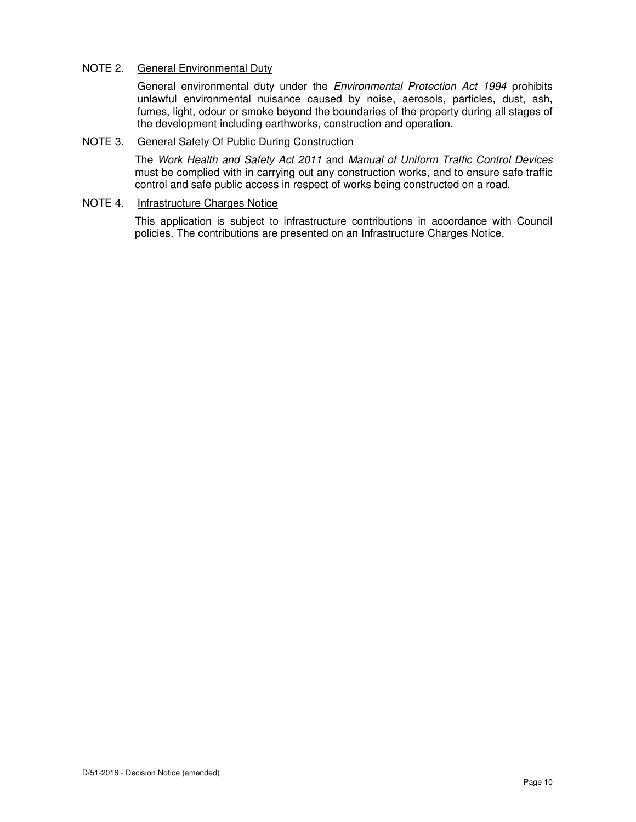## NOTE 2. General Environmental Duty

General environmental duty under the Environmental Protection Act 1994 prohibits unlawful environmental nuisance caused by noise, aerosols, particles, dust, ash, fumes, light, odour or smoke beyond the boundaries of the property during all stages of the development including earthworks, construction and operation.

#### NOTE 3. General Safety Of Public During Construction

The Work Health and Safety Act 2011 and Manual of Uniform Traffic Control Devices must be complied with in carrying out any construction works, and to ensure safe traffic control and safe public access in respect of works being constructed on a road.

## NOTE 4. Infrastructure Charges Notice

This application is subject to infrastructure contributions in accordance with Council policies. The contributions are presented on an Infrastructure Charges Notice.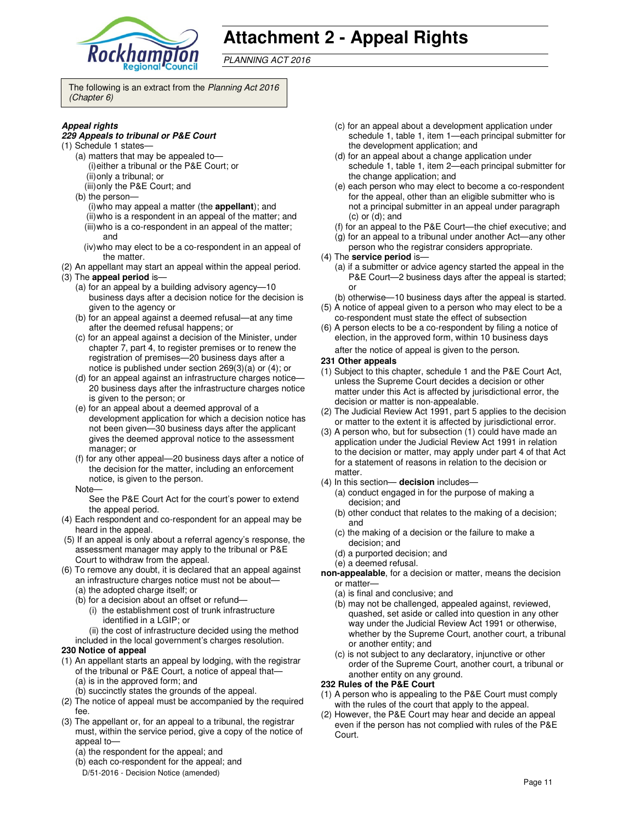

# **Attachment 2 - Appeal Rights**

PLANNING ACT 2016

The following is an extract from the Planning Act 2016 (Chapter 6)

#### **Appeal rights**

#### **229 Appeals to tribunal or P&E Court**

- (1) Schedule 1 states—
	- (a) matters that may be appealed to— (i) either a tribunal or the P&E Court; or (ii) only a tribunal; or
	- (iii) only the P&E Court; and
	- (b) the person— (i) who may appeal a matter (the **appellant**); and (ii) who is a respondent in an appeal of the matter; and
	- (iii) who is a co-respondent in an appeal of the matter; and
	- (iv) who may elect to be a co-respondent in an appeal of the matter.
- (2) An appellant may start an appeal within the appeal period.
- (3) The **appeal period** is—
	- (a) for an appeal by a building advisory agency—10 business days after a decision notice for the decision is given to the agency or
	- (b) for an appeal against a deemed refusal—at any time after the deemed refusal happens; or
	- (c) for an appeal against a decision of the Minister, under chapter 7, part 4, to register premises or to renew the registration of premises—20 business days after a notice is published under section 269(3)(a) or (4); or
	- (d) for an appeal against an infrastructure charges notice— 20 business days after the infrastructure charges notice is given to the person; or
	- (e) for an appeal about a deemed approval of a development application for which a decision notice has not been given—30 business days after the applicant gives the deemed approval notice to the assessment manager; or
	- (f) for any other appeal—20 business days after a notice of the decision for the matter, including an enforcement notice, is given to the person.
	- Note—

See the P&E Court Act for the court's power to extend the appeal period.

- (4) Each respondent and co-respondent for an appeal may be heard in the appeal.
- (5) If an appeal is only about a referral agency's response, the assessment manager may apply to the tribunal or P&E Court to withdraw from the appeal.
- (6) To remove any doubt, it is declared that an appeal against an infrastructure charges notice must not be about—
	- (a) the adopted charge itself; or
	- (b) for a decision about an offset or refund— (i) the establishment cost of trunk infrastructure identified in a LGIP; or
		- (ii) the cost of infrastructure decided using the method
	- included in the local government's charges resolution.

#### **230 Notice of appeal**

- (1) An appellant starts an appeal by lodging, with the registrar of the tribunal or P&E Court, a notice of appeal that— (a) is in the approved form; and
	- (b) succinctly states the grounds of the appeal.
- (2) The notice of appeal must be accompanied by the required fee.
- (3) The appellant or, for an appeal to a tribunal, the registrar must, within the service period, give a copy of the notice of appeal to—
	- (a) the respondent for the appeal; and
	- (b) each co-respondent for the appeal; and
	- D/51-2016 Decision Notice (amended)
- (c) for an appeal about a development application under schedule 1, table 1, item 1—each principal submitter for the development application; and
- (d) for an appeal about a change application under schedule 1, table 1, item 2—each principal submitter for the change application; and
- (e) each person who may elect to become a co-respondent for the appeal, other than an eligible submitter who is not a principal submitter in an appeal under paragraph (c) or (d); and
- (f) for an appeal to the P&E Court—the chief executive; and
- (g) for an appeal to a tribunal under another Act—any other
- person who the registrar considers appropriate. (4) The **service period** is—
	- (a) if a submitter or advice agency started the appeal in the P&E Court—2 business days after the appeal is started; or
	- (b) otherwise—10 business days after the appeal is started.
- (5) A notice of appeal given to a person who may elect to be a co-respondent must state the effect of subsection
- (6) A person elects to be a co-respondent by filing a notice of election, in the approved form, within 10 business days after the notice of appeal is given to the person*.*
- **231 Other appeals**
- (1) Subject to this chapter, schedule 1 and the P&E Court Act, unless the Supreme Court decides a decision or other matter under this Act is affected by jurisdictional error, the decision or matter is non-appealable.
- (2) The Judicial Review Act 1991, part 5 applies to the decision or matter to the extent it is affected by jurisdictional error.
- (3) A person who, but for subsection (1) could have made an application under the Judicial Review Act 1991 in relation to the decision or matter, may apply under part 4 of that Act for a statement of reasons in relation to the decision or matter.
- (4) In this section— **decision** includes—
	- (a) conduct engaged in for the purpose of making a decision; and
	- (b) other conduct that relates to the making of a decision; and
	- (c) the making of a decision or the failure to make a decision; and
	- (d) a purported decision; and
	- (e) a deemed refusal.
- **non-appealable**, for a decision or matter, means the decision or matter—
	- (a) is final and conclusive; and
	- (b) may not be challenged, appealed against, reviewed, quashed, set aside or called into question in any other way under the Judicial Review Act 1991 or otherwise, whether by the Supreme Court, another court, a tribunal or another entity; and
	- (c) is not subject to any declaratory, injunctive or other order of the Supreme Court, another court, a tribunal or another entity on any ground.

#### **232 Rules of the P&E Court**

- (1) A person who is appealing to the P&E Court must comply with the rules of the court that apply to the appeal.
- (2) However, the P&E Court may hear and decide an appeal even if the person has not complied with rules of the P&E Court.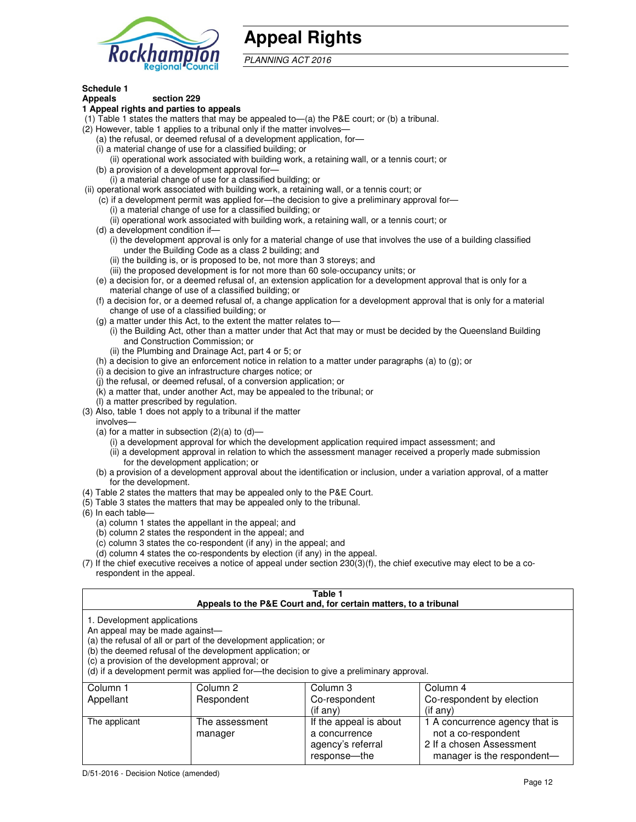

# **Appeal Rights**

PLANNING ACT 2016

## **Schedule 1**

#### **Appeals section 229 1 Appeal rights and parties to appeals**

- (1) Table 1 states the matters that may be appealed to—(a) the P&E court; or (b) a tribunal.
- (2) However, table 1 applies to a tribunal only if the matter involves—
	- (a) the refusal, or deemed refusal of a development application, for—
	- (i) a material change of use for a classified building; or
	- (ii) operational work associated with building work, a retaining wall, or a tennis court; or (b) a provision of a development approval for—
	- (i) a material change of use for a classified building; or
- (ii) operational work associated with building work, a retaining wall, or a tennis court; or
	- (c) if a development permit was applied for—the decision to give a preliminary approval for—
		- (i) a material change of use for a classified building; or
		- (ii) operational work associated with building work, a retaining wall, or a tennis court; or
	- (d) a development condition if—
		- (i) the development approval is only for a material change of use that involves the use of a building classified under the Building Code as a class 2 building; and
		- (ii) the building is, or is proposed to be, not more than 3 storeys; and
		- (iii) the proposed development is for not more than 60 sole-occupancy units; or
	- (e) a decision for, or a deemed refusal of, an extension application for a development approval that is only for a material change of use of a classified building; or
	- (f) a decision for, or a deemed refusal of, a change application for a development approval that is only for a material change of use of a classified building; or
	- (g) a matter under this Act, to the extent the matter relates to—
		- (i) the Building Act, other than a matter under that Act that may or must be decided by the Queensland Building and Construction Commission; or
		- (ii) the Plumbing and Drainage Act, part 4 or 5; or
	- (h) a decision to give an enforcement notice in relation to a matter under paragraphs (a) to (g); or
	- (i) a decision to give an infrastructure charges notice; or
	- (j) the refusal, or deemed refusal, of a conversion application; or
	- (k) a matter that, under another Act, may be appealed to the tribunal; or
	- (l) a matter prescribed by regulation.
- (3) Also, table 1 does not apply to a tribunal if the matter
- involves—
	- (a) for a matter in subsection  $(2)(a)$  to  $(d)$ 
		- (i) a development approval for which the development application required impact assessment; and
		- (ii) a development approval in relation to which the assessment manager received a properly made submission for the development application; or
	- (b) a provision of a development approval about the identification or inclusion, under a variation approval, of a matter for the development.
- (4) Table 2 states the matters that may be appealed only to the P&E Court.
- (5) Table 3 states the matters that may be appealed only to the tribunal.
- (6) In each table—
	- (a) column 1 states the appellant in the appeal; and
	- (b) column 2 states the respondent in the appeal; and
	- (c) column 3 states the co-respondent (if any) in the appeal; and
	- (d) column 4 states the co-respondents by election (if any) in the appeal.
- (7) If the chief executive receives a notice of appeal under section 230(3)(f), the chief executive may elect to be a corespondent in the appeal.

| Table 1<br>Appeals to the P&E Court and, for certain matters, to a tribunal                                                                                                                                                                                                                                                                    |                           |                                                              |                                                                                   |  |
|------------------------------------------------------------------------------------------------------------------------------------------------------------------------------------------------------------------------------------------------------------------------------------------------------------------------------------------------|---------------------------|--------------------------------------------------------------|-----------------------------------------------------------------------------------|--|
| 1. Development applications<br>An appeal may be made against-<br>(a) the refusal of all or part of the development application; or<br>(b) the deemed refusal of the development application; or<br>(c) a provision of the development approval; or<br>(d) if a development permit was applied for—the decision to give a preliminary approval. |                           |                                                              |                                                                                   |  |
| Column 1<br>Appellant                                                                                                                                                                                                                                                                                                                          | Column 2<br>Respondent    | Column 3<br>Co-respondent<br>$($ if any $)$                  | Column 4<br>Co-respondent by election<br>$($ if any $)$                           |  |
| The applicant                                                                                                                                                                                                                                                                                                                                  | The assessment<br>manager | If the appeal is about<br>a concurrence<br>agency's referral | 1 A concurrence agency that is<br>not a co-respondent<br>2 If a chosen Assessment |  |

response—the

manager is the respondent-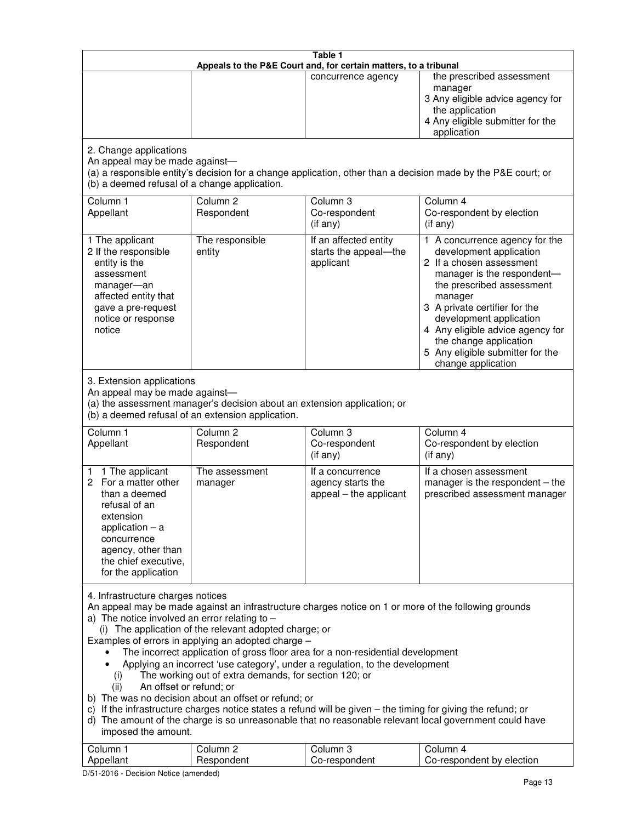| Table 1<br>Appeals to the P&E Court and, for certain matters, to a tribunal                                                                                                                                                                                                                                                                                                                                                                                                                                                                                                                                                                                                                                                                                                                                                                                                                                                                                       |                                   |                                                                 |                                                                                                                                                                                                                                                                                                                                                 |  |
|-------------------------------------------------------------------------------------------------------------------------------------------------------------------------------------------------------------------------------------------------------------------------------------------------------------------------------------------------------------------------------------------------------------------------------------------------------------------------------------------------------------------------------------------------------------------------------------------------------------------------------------------------------------------------------------------------------------------------------------------------------------------------------------------------------------------------------------------------------------------------------------------------------------------------------------------------------------------|-----------------------------------|-----------------------------------------------------------------|-------------------------------------------------------------------------------------------------------------------------------------------------------------------------------------------------------------------------------------------------------------------------------------------------------------------------------------------------|--|
|                                                                                                                                                                                                                                                                                                                                                                                                                                                                                                                                                                                                                                                                                                                                                                                                                                                                                                                                                                   |                                   | concurrence agency                                              | the prescribed assessment<br>manager<br>3 Any eligible advice agency for<br>the application<br>4 Any eligible submitter for the<br>application                                                                                                                                                                                                  |  |
| 2. Change applications<br>An appeal may be made against-<br>(b) a deemed refusal of a change application.                                                                                                                                                                                                                                                                                                                                                                                                                                                                                                                                                                                                                                                                                                                                                                                                                                                         |                                   |                                                                 | (a) a responsible entity's decision for a change application, other than a decision made by the P&E court; or                                                                                                                                                                                                                                   |  |
| Column 1<br>Appellant                                                                                                                                                                                                                                                                                                                                                                                                                                                                                                                                                                                                                                                                                                                                                                                                                                                                                                                                             | Column <sub>2</sub><br>Respondent | Column <sub>3</sub><br>Co-respondent<br>(if any)                | Column 4<br>Co-respondent by election<br>(if any)                                                                                                                                                                                                                                                                                               |  |
| 1 The applicant<br>2 If the responsible<br>entity is the<br>assessment<br>manager-an<br>affected entity that<br>gave a pre-request<br>notice or response<br>notice                                                                                                                                                                                                                                                                                                                                                                                                                                                                                                                                                                                                                                                                                                                                                                                                | The responsible<br>entity         | If an affected entity<br>starts the appeal-the<br>applicant     | 1 A concurrence agency for the<br>development application<br>2 If a chosen assessment<br>manager is the respondent-<br>the prescribed assessment<br>manager<br>3 A private certifier for the<br>development application<br>4 Any eligible advice agency for<br>the change application<br>5 Any eligible submitter for the<br>change application |  |
| 3. Extension applications<br>An appeal may be made against-<br>(a) the assessment manager's decision about an extension application; or<br>(b) a deemed refusal of an extension application.                                                                                                                                                                                                                                                                                                                                                                                                                                                                                                                                                                                                                                                                                                                                                                      |                                   |                                                                 |                                                                                                                                                                                                                                                                                                                                                 |  |
| Column 1<br>Appellant                                                                                                                                                                                                                                                                                                                                                                                                                                                                                                                                                                                                                                                                                                                                                                                                                                                                                                                                             | Column <sub>2</sub><br>Respondent | Column 3<br>Co-respondent<br>(if any)                           | Column 4<br>Co-respondent by election<br>(if any)                                                                                                                                                                                                                                                                                               |  |
| 1 The applicant<br>1.<br>For a matter other<br>2<br>than a deemed<br>refusal of an<br>extension<br>application $-$ a<br>concurrence<br>agency, other than<br>the chief executive,<br>for the application                                                                                                                                                                                                                                                                                                                                                                                                                                                                                                                                                                                                                                                                                                                                                          | The assessment<br>manager         | If a concurrence<br>agency starts the<br>appeal - the applicant | If a chosen assessment<br>manager is the respondent - the<br>prescribed assessment manager                                                                                                                                                                                                                                                      |  |
| 4. Infrastructure charges notices<br>An appeal may be made against an infrastructure charges notice on 1 or more of the following grounds<br>a) The notice involved an error relating to $-$<br>(i) The application of the relevant adopted charge; or<br>Examples of errors in applying an adopted charge -<br>The incorrect application of gross floor area for a non-residential development<br>Applying an incorrect 'use category', under a regulation, to the development<br>The working out of extra demands, for section 120; or<br>(i)<br>An offset or refund; or<br>(ii)<br>b) The was no decision about an offset or refund; or<br>c) If the infrastructure charges notice states a refund will be given - the timing for giving the refund; or<br>d) The amount of the charge is so unreasonable that no reasonable relevant local government could have<br>imposed the amount.<br>Column 1<br>Column <sub>2</sub><br>Column <sub>3</sub><br>Column 4 |                                   |                                                                 |                                                                                                                                                                                                                                                                                                                                                 |  |
| Appellant                                                                                                                                                                                                                                                                                                                                                                                                                                                                                                                                                                                                                                                                                                                                                                                                                                                                                                                                                         | Respondent                        | Co-respondent                                                   | Co-respondent by election                                                                                                                                                                                                                                                                                                                       |  |

D/51-2016 - Decision Notice (amended)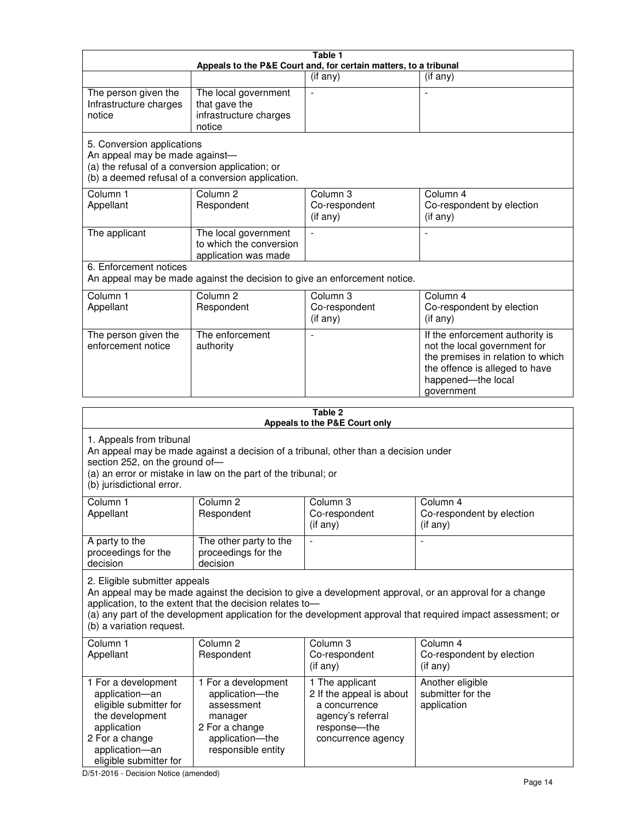| Table 1<br>Appeals to the P&E Court and, for certain matters, to a tribunal                                                                                                                                                                                                                                                                     |                                                                                                                            |                                                                                                                         |                                                                                                                                                                            |
|-------------------------------------------------------------------------------------------------------------------------------------------------------------------------------------------------------------------------------------------------------------------------------------------------------------------------------------------------|----------------------------------------------------------------------------------------------------------------------------|-------------------------------------------------------------------------------------------------------------------------|----------------------------------------------------------------------------------------------------------------------------------------------------------------------------|
|                                                                                                                                                                                                                                                                                                                                                 |                                                                                                                            | (if any)                                                                                                                | $($ if any $)$                                                                                                                                                             |
| The person given the<br>Infrastructure charges<br>notice                                                                                                                                                                                                                                                                                        | The local government<br>that gave the<br>infrastructure charges<br>notice                                                  |                                                                                                                         |                                                                                                                                                                            |
| 5. Conversion applications<br>An appeal may be made against-<br>(a) the refusal of a conversion application; or                                                                                                                                                                                                                                 | (b) a deemed refusal of a conversion application.                                                                          |                                                                                                                         |                                                                                                                                                                            |
| Column 1<br>Appellant                                                                                                                                                                                                                                                                                                                           | Column <sub>2</sub><br>Respondent                                                                                          | Column 3<br>Co-respondent<br>(if any)                                                                                   | Column 4<br>Co-respondent by election<br>(if any)                                                                                                                          |
| The applicant                                                                                                                                                                                                                                                                                                                                   | The local government<br>to which the conversion<br>application was made                                                    |                                                                                                                         | $\blacksquare$                                                                                                                                                             |
| 6. Enforcement notices                                                                                                                                                                                                                                                                                                                          | An appeal may be made against the decision to give an enforcement notice.                                                  |                                                                                                                         |                                                                                                                                                                            |
| Column 1<br>Appellant                                                                                                                                                                                                                                                                                                                           | Column <sub>2</sub><br>Respondent                                                                                          | Column 3<br>Co-respondent<br>(if any)                                                                                   | Column 4<br>Co-respondent by election<br>(if any)                                                                                                                          |
| The person given the<br>enforcement notice                                                                                                                                                                                                                                                                                                      | The enforcement<br>authority                                                                                               |                                                                                                                         | If the enforcement authority is<br>not the local government for<br>the premises in relation to which<br>the offence is alleged to have<br>happened-the local<br>government |
|                                                                                                                                                                                                                                                                                                                                                 |                                                                                                                            | Table 2<br>Appeals to the P&E Court only                                                                                |                                                                                                                                                                            |
| 1. Appeals from tribunal<br>An appeal may be made against a decision of a tribunal, other than a decision under<br>section 252, on the ground of-<br>(a) an error or mistake in law on the part of the tribunal; or<br>(b) jurisdictional error.                                                                                                |                                                                                                                            |                                                                                                                         |                                                                                                                                                                            |
| Column 1<br>Appellant                                                                                                                                                                                                                                                                                                                           | Column 2<br>Respondent                                                                                                     | Column 3<br>Co-respondent<br>(if any)                                                                                   | Column 4<br>Co-respondent by election<br>$($ if any $)$                                                                                                                    |
| A party to the<br>proceedings for the<br>decision                                                                                                                                                                                                                                                                                               | The other party to the<br>proceedings for the<br>decision                                                                  |                                                                                                                         |                                                                                                                                                                            |
| 2. Eligible submitter appeals<br>An appeal may be made against the decision to give a development approval, or an approval for a change<br>application, to the extent that the decision relates to-<br>(a) any part of the development application for the development approval that required impact assessment; or<br>(b) a variation request. |                                                                                                                            |                                                                                                                         |                                                                                                                                                                            |
| Column <sub>1</sub><br>Appellant                                                                                                                                                                                                                                                                                                                | Column <sub>2</sub><br>Respondent                                                                                          | Column 3<br>Co-respondent<br>(if any)                                                                                   | Column 4<br>Co-respondent by election<br>(if any)                                                                                                                          |
| 1 For a development<br>application-an<br>eligible submitter for<br>the development<br>application<br>2 For a change<br>application-an                                                                                                                                                                                                           | 1 For a development<br>application-the<br>assessment<br>manager<br>2 For a change<br>application-the<br>responsible entity | 1 The applicant<br>2 If the appeal is about<br>a concurrence<br>agency's referral<br>response-the<br>concurrence agency | Another eligible<br>submitter for the<br>application                                                                                                                       |

D/51-2016 - Decision Notice (amended)

eligible submitter for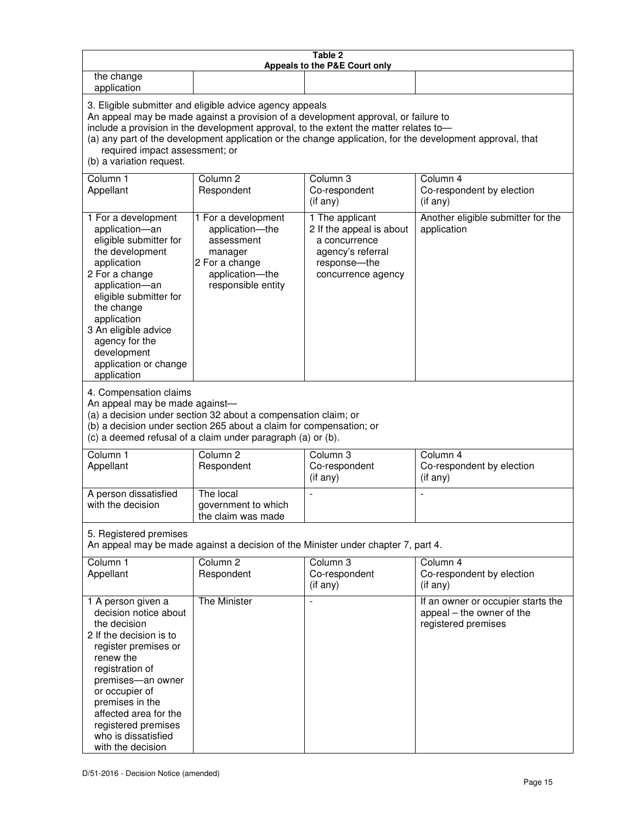| Table 2<br>Appeals to the P&E Court only                                                                                                                                                                                                                                                                                                                                                                           |                                                                                                                            |                                                                                                                         |                                                                                        |
|--------------------------------------------------------------------------------------------------------------------------------------------------------------------------------------------------------------------------------------------------------------------------------------------------------------------------------------------------------------------------------------------------------------------|----------------------------------------------------------------------------------------------------------------------------|-------------------------------------------------------------------------------------------------------------------------|----------------------------------------------------------------------------------------|
| the change<br>application                                                                                                                                                                                                                                                                                                                                                                                          |                                                                                                                            |                                                                                                                         |                                                                                        |
| 3. Eligible submitter and eligible advice agency appeals<br>An appeal may be made against a provision of a development approval, or failure to<br>include a provision in the development approval, to the extent the matter relates to-<br>(a) any part of the development application or the change application, for the development approval, that<br>required impact assessment; or<br>(b) a variation request. |                                                                                                                            |                                                                                                                         |                                                                                        |
| Column 1<br>Appellant                                                                                                                                                                                                                                                                                                                                                                                              | Column <sub>2</sub><br>Respondent                                                                                          | Column 3<br>Co-respondent<br>(if any)                                                                                   | Column 4<br>Co-respondent by election<br>(if any)                                      |
| 1 For a development<br>application-an<br>eligible submitter for<br>the development<br>application<br>2 For a change<br>application-an<br>eligible submitter for<br>the change<br>application<br>3 An eligible advice<br>agency for the<br>development<br>application or change<br>application                                                                                                                      | 1 For a development<br>application-the<br>assessment<br>manager<br>2 For a change<br>application-the<br>responsible entity | 1 The applicant<br>2 If the appeal is about<br>a concurrence<br>agency's referral<br>response-the<br>concurrence agency | Another eligible submitter for the<br>application                                      |
| 4. Compensation claims<br>An appeal may be made against-<br>(a) a decision under section 32 about a compensation claim; or<br>(b) a decision under section 265 about a claim for compensation; or<br>(c) a deemed refusal of a claim under paragraph (a) or (b).                                                                                                                                                   |                                                                                                                            |                                                                                                                         |                                                                                        |
| Column <sub>1</sub><br>Appellant                                                                                                                                                                                                                                                                                                                                                                                   | Column <sub>2</sub><br>Respondent                                                                                          | Column 3<br>Co-respondent<br>(if any)                                                                                   | Column 4<br>Co-respondent by election<br>(if any)                                      |
| A person dissatisfied<br>with the decision                                                                                                                                                                                                                                                                                                                                                                         | The local<br>government to which<br>the claim was made                                                                     | ÷,                                                                                                                      | $\overline{a}$                                                                         |
| 5. Registered premises<br>An appeal may be made against a decision of the Minister under chapter 7, part 4.                                                                                                                                                                                                                                                                                                        |                                                                                                                            |                                                                                                                         |                                                                                        |
| Column <sub>1</sub><br>Appellant                                                                                                                                                                                                                                                                                                                                                                                   | Column <sub>2</sub><br>Respondent                                                                                          | Column <sub>3</sub><br>Co-respondent<br>(if any)                                                                        | Column 4<br>Co-respondent by election<br>(if any)                                      |
| 1 A person given a<br>decision notice about<br>the decision<br>2 If the decision is to<br>register premises or<br>renew the<br>registration of<br>premises-an owner<br>or occupier of<br>premises in the<br>affected area for the<br>registered premises<br>who is dissatisfied<br>with the decision                                                                                                               | <b>The Minister</b>                                                                                                        |                                                                                                                         | If an owner or occupier starts the<br>appeal - the owner of the<br>registered premises |